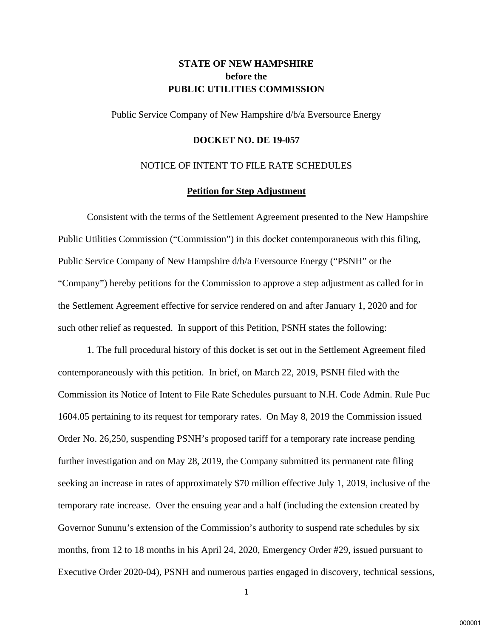# **STATE OF NEW HAMPSHIRE before the PUBLIC UTILITIES COMMISSION**

Public Service Company of New Hampshire d/b/a Eversource Energy

#### **DOCKET NO. DE 19-057**

## NOTICE OF INTENT TO FILE RATE SCHEDULES

### **Petition for Step Adjustment**

Consistent with the terms of the Settlement Agreement presented to the New Hampshire Public Utilities Commission ("Commission") in this docket contemporaneous with this filing, Public Service Company of New Hampshire d/b/a Eversource Energy ("PSNH" or the "Company") hereby petitions for the Commission to approve a step adjustment as called for in the Settlement Agreement effective for service rendered on and after January 1, 2020 and for such other relief as requested. In support of this Petition, PSNH states the following:

1. The full procedural history of this docket is set out in the Settlement Agreement filed contemporaneously with this petition. In brief, on March 22, 2019, PSNH filed with the Commission its Notice of Intent to File Rate Schedules pursuant to N.H. Code Admin. Rule Puc 1604.05 pertaining to its request for temporary rates. On May 8, 2019 the Commission issued Order No. 26,250, suspending PSNH's proposed tariff for a temporary rate increase pending further investigation and on May 28, 2019, the Company submitted its permanent rate filing seeking an increase in rates of approximately \$70 million effective July 1, 2019, inclusive of the temporary rate increase. Over the ensuing year and a half (including the extension created by Governor Sununu's extension of the Commission's authority to suspend rate schedules by six months, from 12 to 18 months in his April 24, 2020, Emergency Order #29, issued pursuant to Executive Order 2020-04), PSNH and numerous parties engaged in discovery, technical sessions,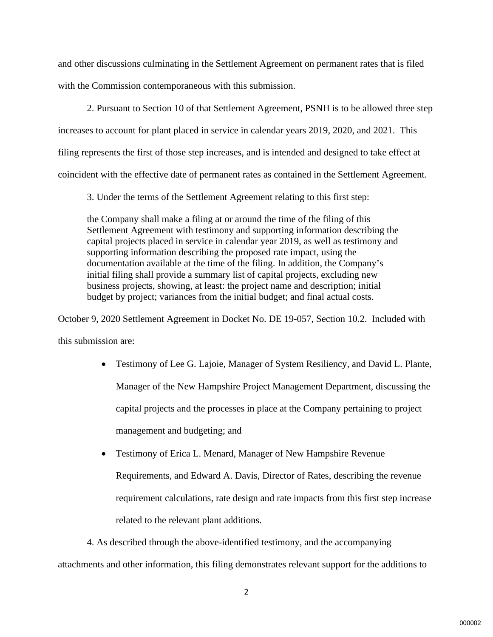and other discussions culminating in the Settlement Agreement on permanent rates that is filed with the Commission contemporaneous with this submission.

2. Pursuant to Section 10 of that Settlement Agreement, PSNH is to be allowed three step increases to account for plant placed in service in calendar years 2019, 2020, and 2021. This filing represents the first of those step increases, and is intended and designed to take effect at coincident with the effective date of permanent rates as contained in the Settlement Agreement.

3. Under the terms of the Settlement Agreement relating to this first step:

the Company shall make a filing at or around the time of the filing of this Settlement Agreement with testimony and supporting information describing the capital projects placed in service in calendar year 2019, as well as testimony and supporting information describing the proposed rate impact, using the documentation available at the time of the filing. In addition, the Company's initial filing shall provide a summary list of capital projects, excluding new business projects, showing, at least: the project name and description; initial budget by project; variances from the initial budget; and final actual costs.

October 9, 2020 Settlement Agreement in Docket No. DE 19-057, Section 10.2. Included with this submission are:

- Testimony of Lee G. Lajoie, Manager of System Resiliency, and David L. Plante, Manager of the New Hampshire Project Management Department, discussing the capital projects and the processes in place at the Company pertaining to project management and budgeting; and
- Testimony of Erica L. Menard, Manager of New Hampshire Revenue Requirements, and Edward A. Davis, Director of Rates, describing the revenue requirement calculations, rate design and rate impacts from this first step increase related to the relevant plant additions.

4. As described through the above-identified testimony, and the accompanying attachments and other information, this filing demonstrates relevant support for the additions to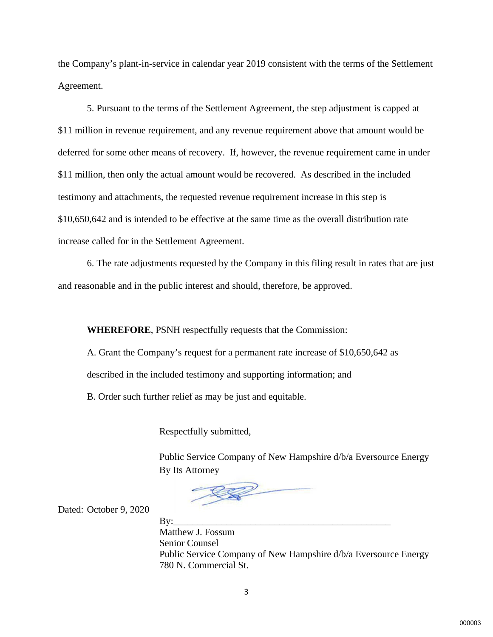the Company's plant-in-service in calendar year 2019 consistent with the terms of the Settlement Agreement.

5. Pursuant to the terms of the Settlement Agreement, the step adjustment is capped at \$11 million in revenue requirement, and any revenue requirement above that amount would be deferred for some other means of recovery. If, however, the revenue requirement came in under \$11 million, then only the actual amount would be recovered. As described in the included testimony and attachments, the requested revenue requirement increase in this step is \$10,650,642 and is intended to be effective at the same time as the overall distribution rate increase called for in the Settlement Agreement.

6. The rate adjustments requested by the Company in this filing result in rates that are just and reasonable and in the public interest and should, therefore, be approved.

**WHEREFORE**, PSNH respectfully requests that the Commission:

A. Grant the Company's request for a permanent rate increase of \$10,650,642 as described in the included testimony and supporting information; and

B. Order such further relief as may be just and equitable.

Respectfully submitted,

Public Service Company of New Hampshire d/b/a Eversource Energy By Its Attorney

Dated: October 9, 2020

By:\_\_\_\_\_\_\_\_\_\_\_\_\_\_\_\_\_\_\_\_\_\_\_\_\_\_\_\_\_\_\_\_\_\_\_\_\_\_\_\_\_\_\_\_\_ Matthew J. Fossum Senior Counsel Public Service Company of New Hampshire d/b/a Eversource Energy 780 N. Commercial St.